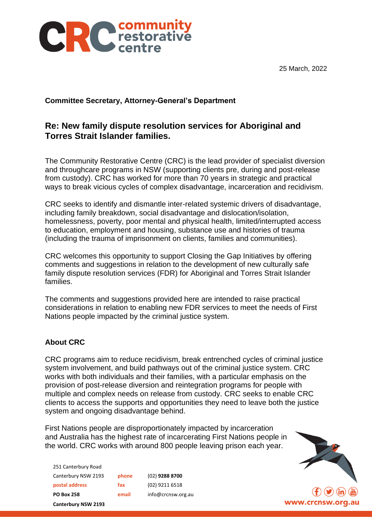



## **Committee Secretary, Attorney-General's Department**

## **Re: New family dispute resolution services for Aboriginal and Torres Strait Islander families.**

The Community Restorative Centre (CRC) is the lead provider of specialist diversion and throughcare programs in NSW (supporting clients pre, during and post-release from custody). CRC has worked for more than 70 years in strategic and practical ways to break vicious cycles of complex disadvantage, incarceration and recidivism.

CRC seeks to identify and dismantle inter-related systemic drivers of disadvantage, including family breakdown, social disadvantage and dislocation/isolation, homelessness, poverty, poor mental and physical health, limited/interrupted access to education, employment and housing, substance use and histories of trauma (including the trauma of imprisonment on clients, families and communities).

CRC welcomes this opportunity to support Closing the Gap Initiatives by offering comments and suggestions in relation to the development of new culturally safe family dispute resolution services (FDR) for Aboriginal and Torres Strait Islander families.

The comments and suggestions provided here are intended to raise practical considerations in relation to enabling new FDR services to meet the needs of First Nations people impacted by the criminal justice system.

## **About CRC**

CRC programs aim to reduce recidivism, break entrenched cycles of criminal justice system involvement, and build pathways out of the criminal justice system. CRC works with both individuals and their families, with a particular emphasis on the provision of post-release diversion and reintegration programs for people with multiple and complex needs on release from custody. CRC seeks to enable CRC clients to access the supports and opportunities they need to leave both the justice system and ongoing disadvantage behind.

First Nations people are disproportionately impacted by incarceration and Australia has the highest rate of incarcerating First Nations people in the world. CRC works with around 800 people leaving prison each year.

251 Canterbury Road Canterbury NSW 2193 **phone** (02) **9288 8700 postal address fax** (02) 9211 6518 **PO Box 258 email** info@crcnsw.org.au **Canterbury NSW 2193**

www.crcnsw.org.au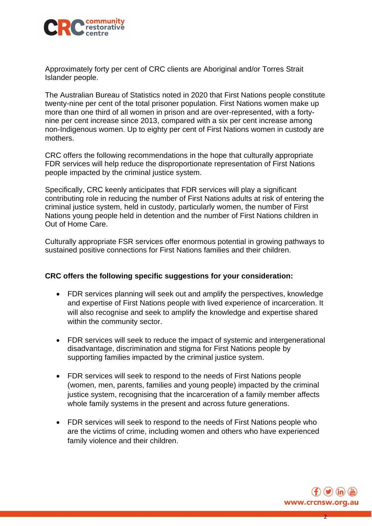

Approximately forty per cent of CRC clients are Aboriginal and/or Torres Strait Islander people.

The Australian Bureau of Statistics noted in 2020 that First Nations people constitute twenty-nine per cent of the total prisoner population. First Nations women make up more than one third of all women in prison and are over-represented, with a fortynine per cent increase since 2013, compared with a six per cent increase among non-Indigenous women. Up to eighty per cent of First Nations women in custody are mothers.

CRC offers the following recommendations in the hope that culturally appropriate FDR services will help reduce the disproportionate representation of First Nations people impacted by the criminal justice system.

Specifically, CRC keenly anticipates that FDR services will play a significant contributing role in reducing the number of First Nations adults at risk of entering the criminal justice system, held in custody, particularly women, the number of First Nations young people held in detention and the number of First Nations children in Out of Home Care.

Culturally appropriate FSR services offer enormous potential in growing pathways to sustained positive connections for First Nations families and their children.

## **CRC offers the following specific suggestions for your consideration:**

- FDR services planning will seek out and amplify the perspectives, knowledge and expertise of First Nations people with lived experience of incarceration. It will also recognise and seek to amplify the knowledge and expertise shared within the community sector.
- FDR services will seek to reduce the impact of systemic and intergenerational disadvantage, discrimination and stigma for First Nations people by supporting families impacted by the criminal justice system.
- FDR services will seek to respond to the needs of First Nations people (women, men, parents, families and young people) impacted by the criminal justice system, recognising that the incarceration of a family member affects whole family systems in the present and across future generations.
- FDR services will seek to respond to the needs of First Nations people who are the victims of crime, including women and others who have experienced family violence and their children.



2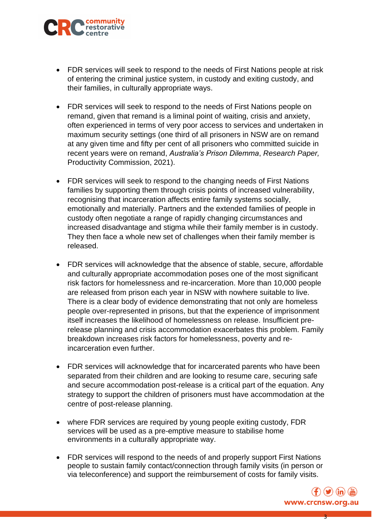

- FDR services will seek to respond to the needs of First Nations people at risk of entering the criminal justice system, in custody and exiting custody, and their families, in culturally appropriate ways.
- FDR services will seek to respond to the needs of First Nations people on remand, given that remand is a liminal point of waiting, crisis and anxiety, often experienced in terms of very poor access to services and undertaken in maximum security settings (one third of all prisoners in NSW are on remand at any given time and fifty per cent of all prisoners who committed suicide in recent years were on remand, *Australia's Prison Dilemma*, *Research Paper,*  Productivity Commission, 2021).
- FDR services will seek to respond to the changing needs of First Nations families by supporting them through crisis points of increased vulnerability, recognising that incarceration affects entire family systems socially, emotionally and materially. Partners and the extended families of people in custody often negotiate a range of rapidly changing circumstances and increased disadvantage and stigma while their family member is in custody. They then face a whole new set of challenges when their family member is released.
- FDR services will acknowledge that the absence of stable, secure, affordable and culturally appropriate accommodation poses one of the most significant risk factors for homelessness and re-incarceration. More than 10,000 people are released from prison each year in NSW with nowhere suitable to live. There is a clear body of evidence demonstrating that not only are homeless people over-represented in prisons, but that the experience of imprisonment itself increases the likelihood of homelessness on release. Insufficient prerelease planning and crisis accommodation exacerbates this problem. Family breakdown increases risk factors for homelessness, poverty and reincarceration even further.
- FDR services will acknowledge that for incarcerated parents who have been separated from their children and are looking to resume care, securing safe and secure accommodation post-release is a critical part of the equation. Any strategy to support the children of prisoners must have accommodation at the centre of post-release planning.
- where FDR services are required by young people exiting custody, FDR services will be used as a pre-emptive measure to stabilise home environments in a culturally appropriate way.
- FDR services will respond to the needs of and properly support First Nations people to sustain family contact/connection through family visits (in person or via teleconference) and support the reimbursement of costs for family visits.



3